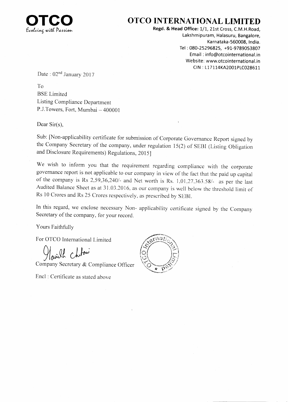

## OTCO INTERNATIONAL LIMITED

Regd. & Head Office: 1/1, 21st Cross, C.M.H.Road, Lakshmipuram, Halasuru, Bangalore, Karnataka-560008, lndia. Tet : 080-25296825, +91-9789053807 Email: info@otcointernational.in Website: www.otcointernational.in CtN : 117114KA2001p1C028G11

Date : 02<sup>nd</sup> January 2017

To BSE Limited Listing Compliance Department P.J.Towers, Fort, Mumbai - 400001

Dear Sir(s),

Sub: [Non-applicability certificate for submission of corporate Govemance Report signed by the Company Secretary of the company, under regulation  $15(2)$  of SEBI (Listing Obligation and Disclosure Requirements) Regulations, 2015]

We wish to inform you that the requirement regarding compliance with the corporate governance report is not applicable to our company in view of the fact that the paid up capital of the company is Rs  $2,59,36,240/4$  and Net worth is Rs. 1,01,27,363.58/ $\text{-}$  as per the last Audited Balance Sheet as at 31.03.2016. as our company is well bclow rhe threshold limil of Rs 10 Crores and Rs 25 Crores respectively, as prescribed by SEBI.

In this regard, we enclose necessary Non- applicability certificate signed by the Company Secretary of the company, for your record.

Yours Faithfully

For OTCO International Limited  $\sqrt{\alpha}$ 

 $\Omega$  choloni

Company Secretary & Compliance Officer

Encl : Certificate as stated above